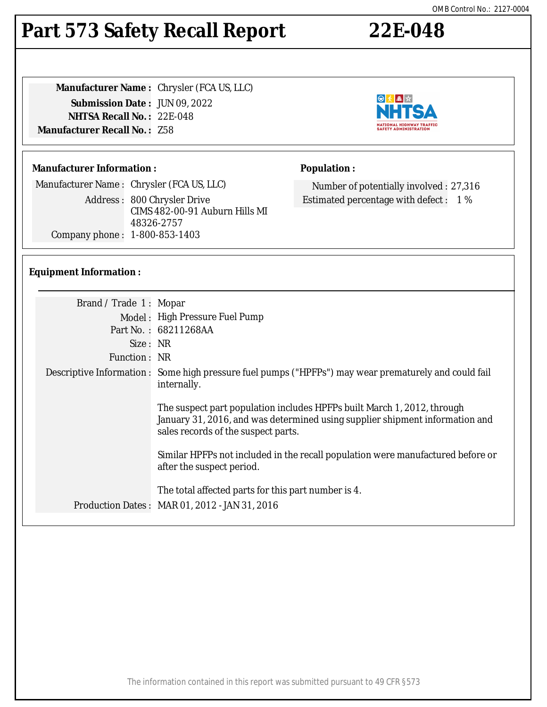#### The information contained in this report was submitted pursuant to 49 CFR §573

#### **Part 573 Safety Recall Report 22E-048**

**Manufacturer Name :** Chrysler (FCA US, LLC) **Submission Date :** JUN 09, 2022 **NHTSA Recall No. :** 22E-048 **Manufacturer Recall No. :** Z58

#### **Manufacturer Information :**

Manufacturer Name : Chrysler (FCA US, LLC) Address : 800 Chrysler Drive CIMS 482-00-91 Auburn Hills MI 48326-2757 Company phone : 1-800-853-1403

#### **Equipment Information :**

| Brand / Trade 1: Mopar |                                                                                                                                                                                                |
|------------------------|------------------------------------------------------------------------------------------------------------------------------------------------------------------------------------------------|
|                        | Model: High Pressure Fuel Pump                                                                                                                                                                 |
|                        | Part No.: 68211268AA                                                                                                                                                                           |
| Size: NR               |                                                                                                                                                                                                |
| Function : NR          |                                                                                                                                                                                                |
|                        | Descriptive Information : Some high pressure fuel pumps ("HPFPs") may wear prematurely and could fail<br>internally.                                                                           |
|                        | The suspect part population includes HPFPs built March 1, 2012, through<br>January 31, 2016, and was determined using supplier shipment information and<br>sales records of the suspect parts. |
|                        | Similar HPFPs not included in the recall population were manufactured before or<br>after the suspect period.                                                                                   |
|                        | The total affected parts for this part number is 4.                                                                                                                                            |
|                        | Production Dates: MAR 01, 2012 - JAN 31, 2016                                                                                                                                                  |
|                        |                                                                                                                                                                                                |



Number of potentially involved : 27,316 Estimated percentage with defect : 1 %

**Population :**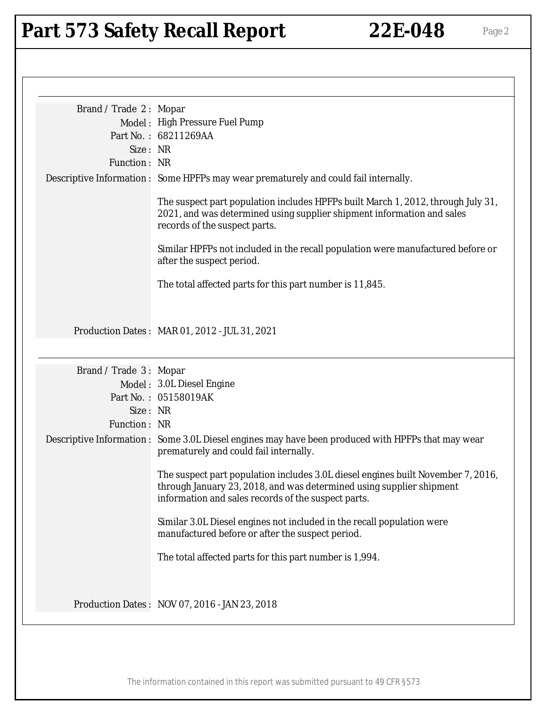| Brand / Trade 2: Mopar |                                                                                                                                                                                                                 |
|------------------------|-----------------------------------------------------------------------------------------------------------------------------------------------------------------------------------------------------------------|
|                        | Model: High Pressure Fuel Pump                                                                                                                                                                                  |
|                        | Part No.: 68211269AA                                                                                                                                                                                            |
| Size: NR               |                                                                                                                                                                                                                 |
| Function: NR           |                                                                                                                                                                                                                 |
|                        | Descriptive Information : Some HPFPs may wear prematurely and could fail internally.                                                                                                                            |
|                        | The suspect part population includes HPFPs built March 1, 2012, through July 31,<br>2021, and was determined using supplier shipment information and sales<br>records of the suspect parts.                     |
|                        | Similar HPFPs not included in the recall population were manufactured before or<br>after the suspect period.                                                                                                    |
|                        | The total affected parts for this part number is 11,845.                                                                                                                                                        |
|                        | Production Dates: MAR 01, 2012 - JUL 31, 2021                                                                                                                                                                   |
| Brand / Trade 3: Mopar |                                                                                                                                                                                                                 |
|                        | Model: 3.0L Diesel Engine                                                                                                                                                                                       |
|                        | Part No.: 05158019AK                                                                                                                                                                                            |
| Size: NR               |                                                                                                                                                                                                                 |
| Function: NR           |                                                                                                                                                                                                                 |
|                        | Descriptive Information : Some 3.0L Diesel engines may have been produced with HPFPs that may wear<br>prematurely and could fail internally.                                                                    |
|                        | The suspect part population includes 3.0L diesel engines built November 7, 2016,<br>through January 23, 2018, and was determined using supplier shipment<br>information and sales records of the suspect parts. |
|                        | Similar 3.0L Diesel engines not included in the recall population were<br>manufactured before or after the suspect period.                                                                                      |
|                        | The total affected parts for this part number is 1,994.                                                                                                                                                         |
|                        | Production Dates: NOV 07, 2016 - JAN 23, 2018                                                                                                                                                                   |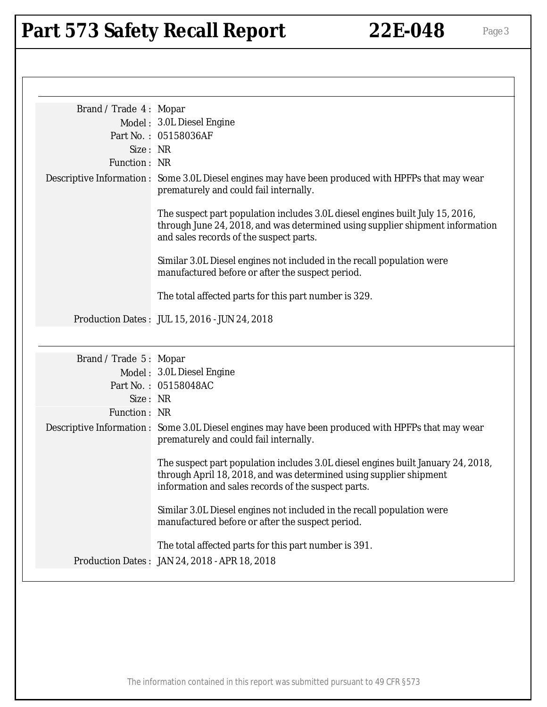| Brand / Trade 4: Mopar |                                                                                                                                                                                                               |
|------------------------|---------------------------------------------------------------------------------------------------------------------------------------------------------------------------------------------------------------|
|                        | Model: 3.0L Diesel Engine                                                                                                                                                                                     |
|                        | Part No.: 05158036AF                                                                                                                                                                                          |
| Size: NR               |                                                                                                                                                                                                               |
| Function: NR           |                                                                                                                                                                                                               |
|                        | Descriptive Information : Some 3.0L Diesel engines may have been produced with HPFPs that may wear<br>prematurely and could fail internally.                                                                  |
|                        | The suspect part population includes 3.0L diesel engines built July 15, 2016,<br>through June 24, 2018, and was determined using supplier shipment information<br>and sales records of the suspect parts.     |
|                        | Similar 3.0L Diesel engines not included in the recall population were<br>manufactured before or after the suspect period.                                                                                    |
|                        | The total affected parts for this part number is 329.                                                                                                                                                         |
|                        | Production Dates: JUL 15, 2016 - JUN 24, 2018                                                                                                                                                                 |
| Brand / Trade 5: Mopar |                                                                                                                                                                                                               |
|                        | Model: 3.0L Diesel Engine                                                                                                                                                                                     |
|                        | Part No.: 05158048AC                                                                                                                                                                                          |
| Size: NR               |                                                                                                                                                                                                               |
| Function: NR           |                                                                                                                                                                                                               |
|                        | Descriptive Information : Some 3.0L Diesel engines may have been produced with HPFPs that may wear<br>prematurely and could fail internally.                                                                  |
|                        | The suspect part population includes 3.0L diesel engines built January 24, 2018,<br>through April 18, 2018, and was determined using supplier shipment<br>information and sales records of the suspect parts. |
|                        | Similar 3.0L Diesel engines not included in the recall population were<br>manufactured before or after the suspect period.                                                                                    |
|                        |                                                                                                                                                                                                               |
|                        | The total affected parts for this part number is 391.                                                                                                                                                         |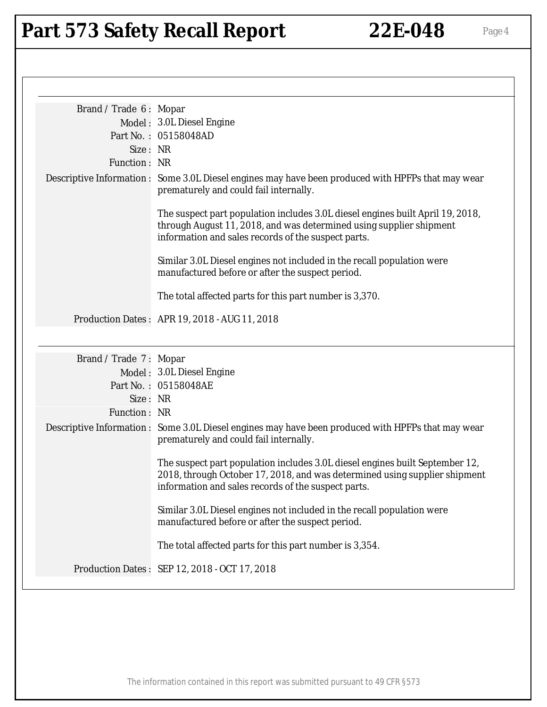| Brand / Trade 6: Mopar |                                                                                                                                                                                                                   |
|------------------------|-------------------------------------------------------------------------------------------------------------------------------------------------------------------------------------------------------------------|
|                        | Model: 3.0L Diesel Engine                                                                                                                                                                                         |
|                        | Part No.: 05158048AD                                                                                                                                                                                              |
| Size: NR               |                                                                                                                                                                                                                   |
| Function: NR           |                                                                                                                                                                                                                   |
|                        | Descriptive Information : Some 3.0L Diesel engines may have been produced with HPFPs that may wear<br>prematurely and could fail internally.                                                                      |
|                        | The suspect part population includes 3.0L diesel engines built April 19, 2018,<br>through August 11, 2018, and was determined using supplier shipment<br>information and sales records of the suspect parts.      |
|                        | Similar 3.0L Diesel engines not included in the recall population were<br>manufactured before or after the suspect period.                                                                                        |
|                        | The total affected parts for this part number is 3,370.                                                                                                                                                           |
|                        | Production Dates: APR 19, 2018 - AUG 11, 2018                                                                                                                                                                     |
| Brand / Trade 7: Mopar |                                                                                                                                                                                                                   |
|                        | Model: 3.0L Diesel Engine                                                                                                                                                                                         |
|                        | Part No.: 05158048AE                                                                                                                                                                                              |
| Size: NR               |                                                                                                                                                                                                                   |
| Function: NR           |                                                                                                                                                                                                                   |
|                        | Descriptive Information : Some 3.0L Diesel engines may have been produced with HPFPs that may wear<br>prematurely and could fail internally.                                                                      |
|                        | The suspect part population includes 3.0L diesel engines built September 12,<br>2018, through October 17, 2018, and was determined using supplier shipment<br>information and sales records of the suspect parts. |
|                        | Similar 3.0L Diesel engines not included in the recall population were<br>manufactured before or after the suspect period.                                                                                        |
|                        | The total affected parts for this part number is 3,354.                                                                                                                                                           |
|                        | Production Dates: SEP 12, 2018 - OCT 17, 2018                                                                                                                                                                     |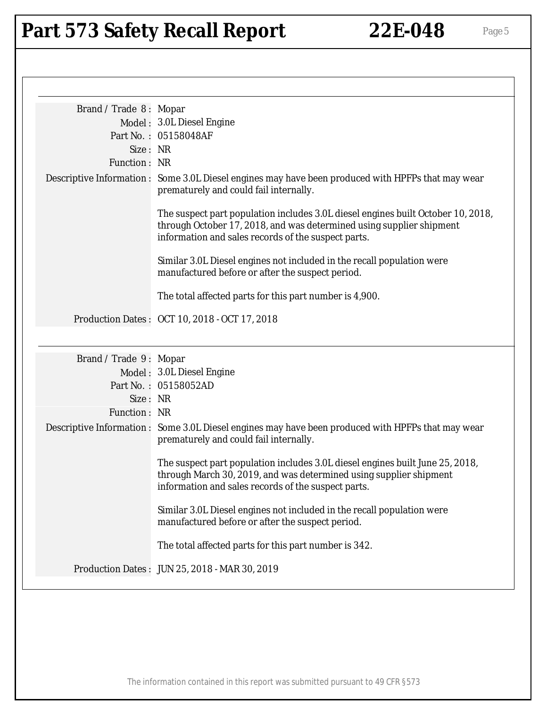| Brand / Trade 8: Mopar |                                                                                                                                                                                                                 |
|------------------------|-----------------------------------------------------------------------------------------------------------------------------------------------------------------------------------------------------------------|
|                        | Model: 3.0L Diesel Engine                                                                                                                                                                                       |
|                        | Part No.: 05158048AF                                                                                                                                                                                            |
| Size: NR               |                                                                                                                                                                                                                 |
| Function: NR           |                                                                                                                                                                                                                 |
|                        | Descriptive Information : Some 3.0L Diesel engines may have been produced with HPFPs that may wear<br>prematurely and could fail internally.                                                                    |
|                        | The suspect part population includes 3.0L diesel engines built October 10, 2018,<br>through October 17, 2018, and was determined using supplier shipment<br>information and sales records of the suspect parts. |
|                        | Similar 3.0L Diesel engines not included in the recall population were<br>manufactured before or after the suspect period.                                                                                      |
|                        | The total affected parts for this part number is 4,900.                                                                                                                                                         |
|                        | Production Dates: OCT 10, 2018 - OCT 17, 2018                                                                                                                                                                   |
| Brand / Trade 9: Mopar |                                                                                                                                                                                                                 |
|                        | Model: 3.0L Diesel Engine                                                                                                                                                                                       |
|                        | Part No.: 05158052AD                                                                                                                                                                                            |
| Size: NR               |                                                                                                                                                                                                                 |
| Function: NR           |                                                                                                                                                                                                                 |
|                        | Descriptive Information : Some 3.0L Diesel engines may have been produced with HPFPs that may wear<br>prematurely and could fail internally.                                                                    |
|                        | The suspect part population includes 3.0L diesel engines built June 25, 2018,<br>through March 30, 2019, and was determined using supplier shipment<br>information and sales records of the suspect parts.      |
|                        | Similar 3.0L Diesel engines not included in the recall population were<br>manufactured before or after the suspect period.                                                                                      |
|                        | The total affected parts for this part number is 342.                                                                                                                                                           |
|                        | Production Dates: JUN 25, 2018 - MAR 30, 2019                                                                                                                                                                   |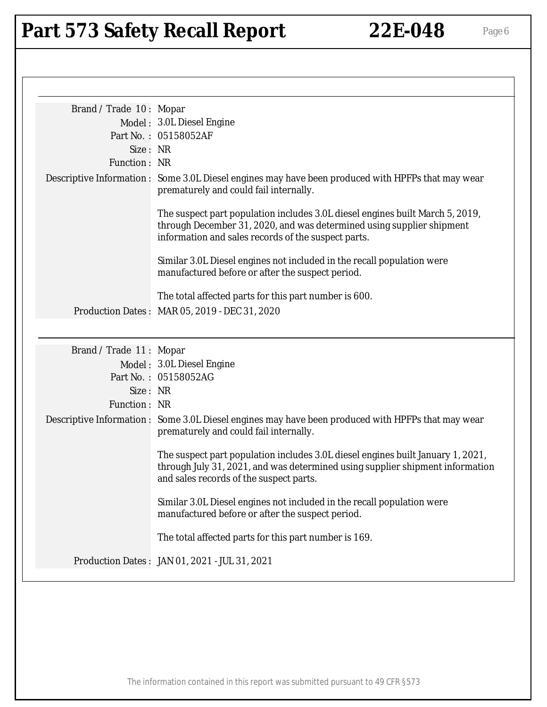| Brand / Trade 10: Mopar |                                                                                                                                                                                                               |
|-------------------------|---------------------------------------------------------------------------------------------------------------------------------------------------------------------------------------------------------------|
|                         | Model: 3.0L Diesel Engine                                                                                                                                                                                     |
|                         | Part No.: 05158052AF                                                                                                                                                                                          |
| Size: NR                |                                                                                                                                                                                                               |
| Function: NR            |                                                                                                                                                                                                               |
|                         | Descriptive Information : Some 3.0L Diesel engines may have been produced with HPFPs that may wear<br>prematurely and could fail internally.                                                                  |
|                         | The suspect part population includes 3.0L diesel engines built March 5, 2019,<br>through December 31, 2020, and was determined using supplier shipment<br>information and sales records of the suspect parts. |
|                         | Similar 3.0L Diesel engines not included in the recall population were<br>manufactured before or after the suspect period.                                                                                    |
|                         | The total affected parts for this part number is 600.                                                                                                                                                         |
|                         | Production Dates: MAR 05, 2019 - DEC 31, 2020                                                                                                                                                                 |
| Brand / Trade 11: Mopar | Model: 3.0L Diesel Engine<br>Part No.: 05158052AG                                                                                                                                                             |
| Size: NR                |                                                                                                                                                                                                               |
| Function: NR            |                                                                                                                                                                                                               |
|                         | Descriptive Information : Some 3.0L Diesel engines may have been produced with HPFPs that may wear<br>prematurely and could fail internally.                                                                  |
|                         | The suspect part population includes 3.0L diesel engines built January 1, 2021,<br>through July 31, 2021, and was determined using supplier shipment information<br>and sales records of the suspect parts.   |
|                         | Similar 3.0L Diesel engines not included in the recall population were<br>manufactured before or after the suspect period.                                                                                    |
|                         | The total affected parts for this part number is 169.                                                                                                                                                         |
|                         | Production Dates: JAN 01, 2021 - JUL 31, 2021                                                                                                                                                                 |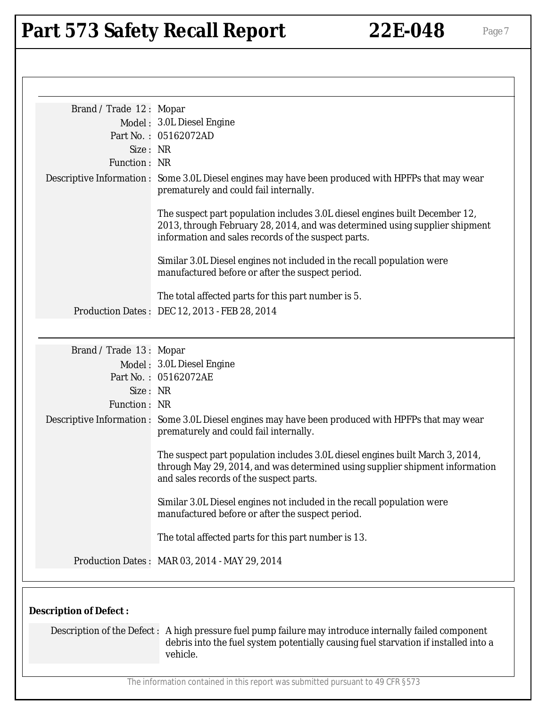| Brand / Trade 12: Mopar       |                                                                                                                                                                                                                   |
|-------------------------------|-------------------------------------------------------------------------------------------------------------------------------------------------------------------------------------------------------------------|
|                               | Model: 3.0L Diesel Engine                                                                                                                                                                                         |
|                               | Part No.: 05162072AD                                                                                                                                                                                              |
| Size: NR                      |                                                                                                                                                                                                                   |
| Function: NR                  |                                                                                                                                                                                                                   |
|                               | Descriptive Information : Some 3.0L Diesel engines may have been produced with HPFPs that may wear<br>prematurely and could fail internally.                                                                      |
|                               | The suspect part population includes 3.0L diesel engines built December 12,<br>2013, through February 28, 2014, and was determined using supplier shipment<br>information and sales records of the suspect parts. |
|                               | Similar 3.0L Diesel engines not included in the recall population were<br>manufactured before or after the suspect period.                                                                                        |
|                               | The total affected parts for this part number is 5.                                                                                                                                                               |
|                               | Production Dates: DEC 12, 2013 - FEB 28, 2014                                                                                                                                                                     |
|                               |                                                                                                                                                                                                                   |
| Brand / Trade 13: Mopar       |                                                                                                                                                                                                                   |
|                               | Model: 3.0L Diesel Engine                                                                                                                                                                                         |
|                               | Part No.: 05162072AE                                                                                                                                                                                              |
| Size: NR                      |                                                                                                                                                                                                                   |
| Function: NR                  |                                                                                                                                                                                                                   |
|                               | Descriptive Information : Some 3.0L Diesel engines may have been produced with HPFPs that may wear<br>prematurely and could fail internally.                                                                      |
|                               | The suspect part population includes 3.0L diesel engines built March 3, 2014,<br>through May 29, 2014, and was determined using supplier shipment information<br>and sales records of the suspect parts.          |
|                               | Similar 3.0L Diesel engines not included in the recall population were<br>manufactured before or after the suspect period.                                                                                        |
|                               | The total affected parts for this part number is 13.                                                                                                                                                              |
|                               | Production Dates: MAR 03, 2014 - MAY 29, 2014                                                                                                                                                                     |
| <b>Description of Defect:</b> |                                                                                                                                                                                                                   |
|                               |                                                                                                                                                                                                                   |
|                               | Description of the Defect : A high pressure fuel pump failure may introduce internally failed component<br>debris into the fuel system potentially causing fuel starvation if installed into a<br>vehicle.        |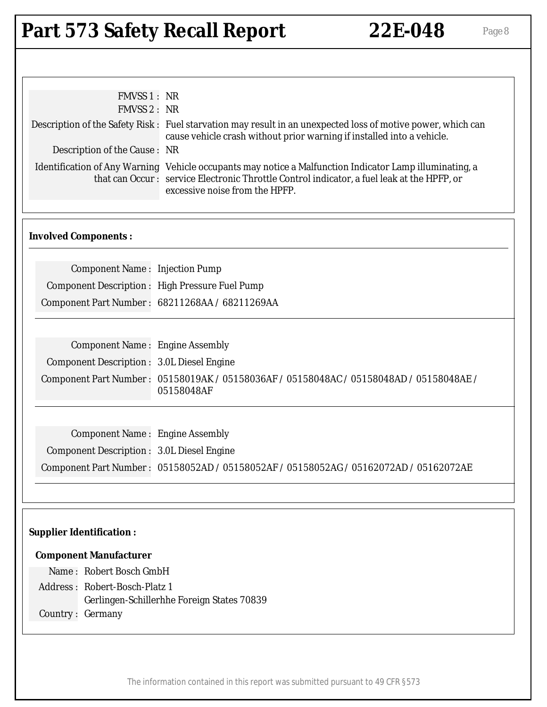| FMVSS 1 : NR                                          |                                                                                                                                                                                                                                         |
|-------------------------------------------------------|-----------------------------------------------------------------------------------------------------------------------------------------------------------------------------------------------------------------------------------------|
| <b>FMVSS 2: NR</b>                                    |                                                                                                                                                                                                                                         |
|                                                       | Description of the Safety Risk : Fuel starvation may result in an unexpected loss of motive power, which can<br>cause vehicle crash without prior warning if installed into a vehicle.                                                  |
| Description of the Cause: NR                          |                                                                                                                                                                                                                                         |
|                                                       | Identification of Any Warning Vehicle occupants may notice a Malfunction Indicator Lamp illuminating, a<br>that can Occur: service Electronic Throttle Control indicator, a fuel leak at the HPFP, or<br>excessive noise from the HPFP. |
| <b>Involved Components:</b>                           |                                                                                                                                                                                                                                         |
| <b>Component Name: Injection Pump</b>                 |                                                                                                                                                                                                                                         |
| <b>Component Description: High Pressure Fuel Pump</b> |                                                                                                                                                                                                                                         |
|                                                       | Component Part Number: 68211268AA / 68211269AA                                                                                                                                                                                          |
|                                                       |                                                                                                                                                                                                                                         |
| <b>Component Name: Engine Assembly</b>                |                                                                                                                                                                                                                                         |
| <b>Component Description: 3.0L Diesel Engine</b>      |                                                                                                                                                                                                                                         |
|                                                       | Component Part Number: 05158019AK / 05158036AF / 05158048AC / 05158048AD / 05158048AE /                                                                                                                                                 |
|                                                       | 05158048AF                                                                                                                                                                                                                              |
|                                                       |                                                                                                                                                                                                                                         |
| <b>Component Name: Engine Assembly</b>                |                                                                                                                                                                                                                                         |
| <b>Component Description: 3.0L Diesel Engine</b>      |                                                                                                                                                                                                                                         |
|                                                       | Component Part Number: 05158052AD / 05158052AF / 05158052AG / 05162072AD / 05162072AE                                                                                                                                                   |
|                                                       |                                                                                                                                                                                                                                         |
|                                                       |                                                                                                                                                                                                                                         |
|                                                       |                                                                                                                                                                                                                                         |
| <b>Supplier Identification:</b>                       |                                                                                                                                                                                                                                         |
| <b>Component Manufacturer</b>                         |                                                                                                                                                                                                                                         |
| Name: Robert Bosch GmbH                               |                                                                                                                                                                                                                                         |
| Address: Robert-Bosch-Platz 1                         |                                                                                                                                                                                                                                         |
|                                                       | Gerlingen-Schillerhhe Foreign States 70839                                                                                                                                                                                              |
| Country: Germany                                      |                                                                                                                                                                                                                                         |
|                                                       |                                                                                                                                                                                                                                         |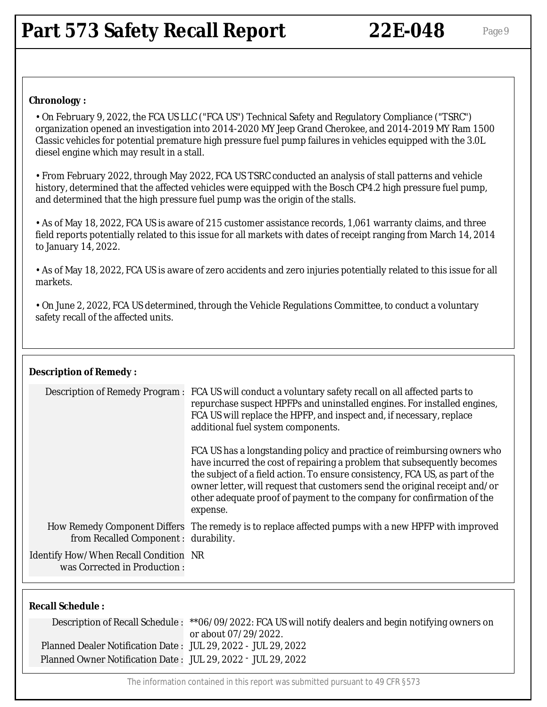#### **Chronology :**

• On February 9, 2022, the FCA US LLC ("FCA US") Technical Safety and Regulatory Compliance ("TSRC") organization opened an investigation into 2014-2020 MY Jeep Grand Cherokee, and 2014-2019 MY Ram 1500 Classic vehicles for potential premature high pressure fuel pump failures in vehicles equipped with the 3.0L diesel engine which may result in a stall.

• From February 2022, through May 2022, FCA US TSRC conducted an analysis of stall patterns and vehicle history, determined that the affected vehicles were equipped with the Bosch CP4.2 high pressure fuel pump, and determined that the high pressure fuel pump was the origin of the stalls.

• As of May 18, 2022, FCA US is aware of 215 customer assistance records, 1,061 warranty claims, and three field reports potentially related to this issue for all markets with dates of receipt ranging from March 14, 2014 to January 14, 2022.

• As of May 18, 2022, FCA US is aware of zero accidents and zero injuries potentially related to this issue for all markets.

• On June 2, 2022, FCA US determined, through the Vehicle Regulations Committee, to conduct a voluntary safety recall of the affected units.

#### **Description of Remedy :**

|                                                                       | Description of Remedy Program : FCA US will conduct a voluntary safety recall on all affected parts to<br>repurchase suspect HPFPs and uninstalled engines. For installed engines,<br>FCA US will replace the HPFP, and inspect and, if necessary, replace<br>additional fuel system components.                                                                                                       |
|-----------------------------------------------------------------------|--------------------------------------------------------------------------------------------------------------------------------------------------------------------------------------------------------------------------------------------------------------------------------------------------------------------------------------------------------------------------------------------------------|
|                                                                       | FCA US has a longstanding policy and practice of reimbursing owners who<br>have incurred the cost of repairing a problem that subsequently becomes<br>the subject of a field action. To ensure consistency, FCA US, as part of the<br>owner letter, will request that customers send the original receipt and/or<br>other adequate proof of payment to the company for confirmation of the<br>expense. |
| from Recalled Component : durability.                                 | How Remedy Component Differs The remedy is to replace affected pumps with a new HPFP with improved                                                                                                                                                                                                                                                                                                     |
| Identify How/When Recall Condition NR<br>was Corrected in Production: |                                                                                                                                                                                                                                                                                                                                                                                                        |
|                                                                       |                                                                                                                                                                                                                                                                                                                                                                                                        |
|                                                                       |                                                                                                                                                                                                                                                                                                                                                                                                        |

|  | <b>Recall Schedule:</b> |  |
|--|-------------------------|--|
|--|-------------------------|--|

|                                                               | Description of Recall Schedule: ** 06/09/2022: FCA US will notify dealers and begin notifying owners on<br>or about 07/29/2022. |
|---------------------------------------------------------------|---------------------------------------------------------------------------------------------------------------------------------|
| Planned Dealer Notification Date: JUL 29, 2022 - JUL 29, 2022 |                                                                                                                                 |
| Planned Owner Notification Date: JUL 29, 2022 - JUL 29, 2022  |                                                                                                                                 |